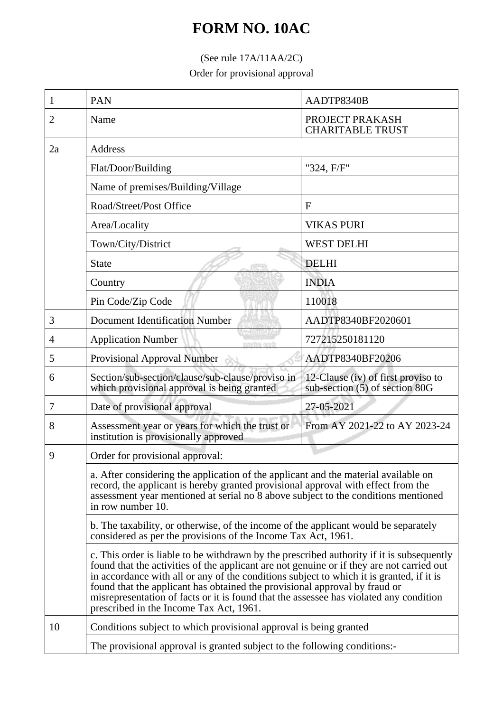## **FORM NO. 10AC**

## (See rule 17A/11AA/2C)

Order for provisional approval

| 1  | <b>PAN</b>                                                                                                                                                                                                                                                                                                                                                                                                                                                                                                                                                                                                                                                                                                                                                                                                                                                                                                                                                                              | AADTP8340B                                                           |  |
|----|-----------------------------------------------------------------------------------------------------------------------------------------------------------------------------------------------------------------------------------------------------------------------------------------------------------------------------------------------------------------------------------------------------------------------------------------------------------------------------------------------------------------------------------------------------------------------------------------------------------------------------------------------------------------------------------------------------------------------------------------------------------------------------------------------------------------------------------------------------------------------------------------------------------------------------------------------------------------------------------------|----------------------------------------------------------------------|--|
| 2  | Name                                                                                                                                                                                                                                                                                                                                                                                                                                                                                                                                                                                                                                                                                                                                                                                                                                                                                                                                                                                    | PROJECT PRAKASH<br><b>CHARITABLE TRUST</b>                           |  |
| 2a | Address                                                                                                                                                                                                                                                                                                                                                                                                                                                                                                                                                                                                                                                                                                                                                                                                                                                                                                                                                                                 |                                                                      |  |
|    | Flat/Door/Building                                                                                                                                                                                                                                                                                                                                                                                                                                                                                                                                                                                                                                                                                                                                                                                                                                                                                                                                                                      | "324, F/F"                                                           |  |
|    | Name of premises/Building/Village                                                                                                                                                                                                                                                                                                                                                                                                                                                                                                                                                                                                                                                                                                                                                                                                                                                                                                                                                       |                                                                      |  |
|    | Road/Street/Post Office                                                                                                                                                                                                                                                                                                                                                                                                                                                                                                                                                                                                                                                                                                                                                                                                                                                                                                                                                                 | $\mathbf{F}$                                                         |  |
|    | Area/Locality                                                                                                                                                                                                                                                                                                                                                                                                                                                                                                                                                                                                                                                                                                                                                                                                                                                                                                                                                                           | <b>VIKAS PURI</b>                                                    |  |
|    | Town/City/District                                                                                                                                                                                                                                                                                                                                                                                                                                                                                                                                                                                                                                                                                                                                                                                                                                                                                                                                                                      | <b>WEST DELHI</b>                                                    |  |
|    | <b>State</b>                                                                                                                                                                                                                                                                                                                                                                                                                                                                                                                                                                                                                                                                                                                                                                                                                                                                                                                                                                            | <b>DELHI</b>                                                         |  |
|    | Country                                                                                                                                                                                                                                                                                                                                                                                                                                                                                                                                                                                                                                                                                                                                                                                                                                                                                                                                                                                 | <b>INDIA</b>                                                         |  |
|    | Pin Code/Zip Code                                                                                                                                                                                                                                                                                                                                                                                                                                                                                                                                                                                                                                                                                                                                                                                                                                                                                                                                                                       | 110018                                                               |  |
| 3  | <b>Document Identification Number</b>                                                                                                                                                                                                                                                                                                                                                                                                                                                                                                                                                                                                                                                                                                                                                                                                                                                                                                                                                   | AADTP8340BF2020601                                                   |  |
| 4  | <b>Application Number</b><br>men leftverr                                                                                                                                                                                                                                                                                                                                                                                                                                                                                                                                                                                                                                                                                                                                                                                                                                                                                                                                               | 727215250181120                                                      |  |
| 5  | Provisional Approval Number                                                                                                                                                                                                                                                                                                                                                                                                                                                                                                                                                                                                                                                                                                                                                                                                                                                                                                                                                             | AADTP8340BF20206                                                     |  |
| 6  | Section/sub-section/clause/sub-clause/proviso in<br>which provisional approval is being granted                                                                                                                                                                                                                                                                                                                                                                                                                                                                                                                                                                                                                                                                                                                                                                                                                                                                                         | 12-Clause (iv) of first proviso to<br>sub-section (5) of section 80G |  |
| 7  | Date of provisional approval                                                                                                                                                                                                                                                                                                                                                                                                                                                                                                                                                                                                                                                                                                                                                                                                                                                                                                                                                            | 27-05-2021                                                           |  |
| 8  | Assessment year or years for which the trust or<br>institution is provisionally approved                                                                                                                                                                                                                                                                                                                                                                                                                                                                                                                                                                                                                                                                                                                                                                                                                                                                                                | From AY 2021-22 to AY 2023-24                                        |  |
| 9  | Order for provisional approval:<br>a. After considering the application of the applicant and the material available on<br>record, the applicant is hereby granted provisional approval with effect from the<br>assessment year mentioned at serial no 8 above subject to the conditions mentioned<br>in row number 10.<br>b. The taxability, or otherwise, of the income of the applicant would be separately<br>considered as per the provisions of the Income Tax Act, 1961.<br>c. This order is liable to be withdrawn by the prescribed authority if it is subsequently<br>found that the activities of the applicant are not genuine or if they are not carried out<br>in accordance with all or any of the conditions subject to which it is granted, if it is<br>found that the applicant has obtained the provisional approval by fraud or<br>misrepresentation of facts or it is found that the assessee has violated any condition<br>prescribed in the Income Tax Act, 1961. |                                                                      |  |
|    |                                                                                                                                                                                                                                                                                                                                                                                                                                                                                                                                                                                                                                                                                                                                                                                                                                                                                                                                                                                         |                                                                      |  |
|    |                                                                                                                                                                                                                                                                                                                                                                                                                                                                                                                                                                                                                                                                                                                                                                                                                                                                                                                                                                                         |                                                                      |  |
|    |                                                                                                                                                                                                                                                                                                                                                                                                                                                                                                                                                                                                                                                                                                                                                                                                                                                                                                                                                                                         |                                                                      |  |
| 10 | Conditions subject to which provisional approval is being granted<br>The provisional approval is granted subject to the following conditions:                                                                                                                                                                                                                                                                                                                                                                                                                                                                                                                                                                                                                                                                                                                                                                                                                                           |                                                                      |  |
|    |                                                                                                                                                                                                                                                                                                                                                                                                                                                                                                                                                                                                                                                                                                                                                                                                                                                                                                                                                                                         |                                                                      |  |